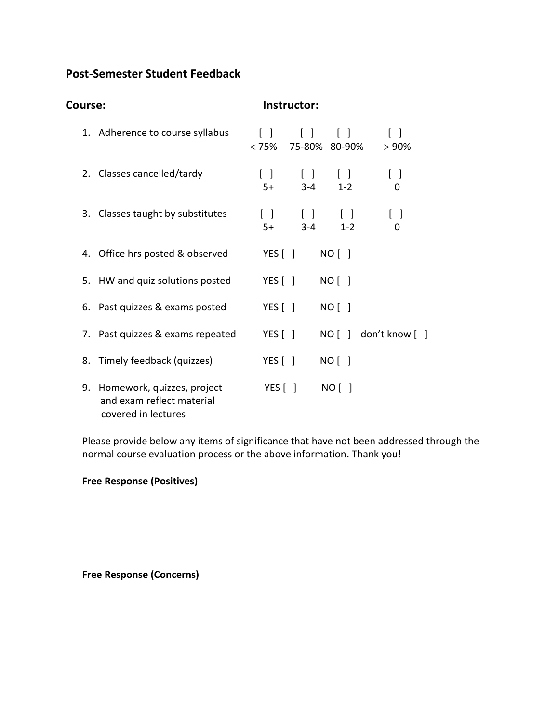# **Post-Semester Student Feedback**

| <b>Course:</b> |                                                                                   | Instructor:                                    |                                                  |                                   |                                      |
|----------------|-----------------------------------------------------------------------------------|------------------------------------------------|--------------------------------------------------|-----------------------------------|--------------------------------------|
|                | 1. Adherence to course syllabus                                                   | $\begin{bmatrix} \end{bmatrix}$<br>$<$ 75% $<$ | $\begin{bmatrix} \end{bmatrix}$<br>75-80% 80-90% | $\begin{bmatrix} 1 \end{bmatrix}$ | $[\ ]$<br>>90%                       |
|                | 2. Classes cancelled/tardy                                                        | $\Box$<br>$5+$                                 | $\mathbf{1}$<br>$3 - 4$                          | $\Box$<br>$1 - 2$                 | $\vert \ \ \vert$<br>0               |
|                | 3. Classes taught by substitutes                                                  | $\lceil$ $\rceil$<br>$5+$                      | $\Box$<br>$3 - 4$                                | $\Box$<br>$1 - 2$                 | $\begin{bmatrix} \end{bmatrix}$<br>0 |
|                | 4. Office hrs posted & observed                                                   | YES $[ ]$                                      |                                                  | NO [ ]                            |                                      |
|                | 5. HW and quiz solutions posted                                                   | YES $\begin{bmatrix} \end{bmatrix}$            |                                                  | $NO$ $\vert$ $\vert$              |                                      |
|                | 6. Past quizzes & exams posted                                                    | YES $\lceil \; \rceil$                         |                                                  | $NO$                              |                                      |
|                | 7. Past quizzes & exams repeated                                                  | YES $\begin{bmatrix} \end{bmatrix}$            |                                                  |                                   | NO [ ] don't know [                  |
|                | 8. Timely feedback (quizzes)                                                      | YES $\lceil \; \rceil$                         |                                                  | $NO$ $\vert$ $\vert$              |                                      |
|                | 9. Homework, quizzes, project<br>and exam reflect material<br>covered in lectures | YES $\lceil \rceil$                            |                                                  | NO [ ]                            |                                      |

Please provide below any items of significance that have not been addressed through the normal course evaluation process or the above information. Thank you!

**Free Response (Positives)**

**Free Response (Concerns)**